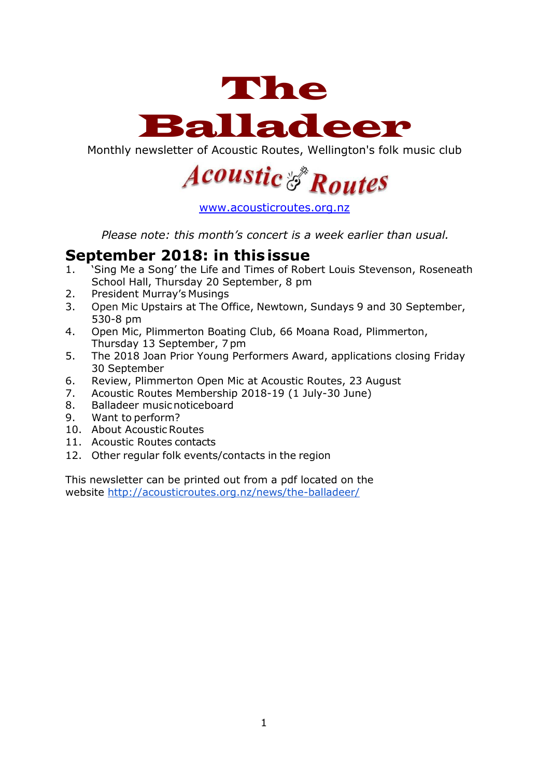

Monthly newsletter of Acoustic Routes, Wellington's folk music club



[www.acousticroutes.org.nz](http://www.acousticroutes.org.nz/)

*Please note: this month's concert is a week earlier than usual.*

### **September 2018: in thisissue**

- 1. 'Sing Me a Song' the Life and Times of Robert Louis Stevenson, Roseneath School Hall, Thursday 20 September, 8 pm
- 2. President Murray's Musings
- 3. Open Mic Upstairs at The Office, Newtown, Sundays 9 and 30 September, 530-8 pm
- 4. Open Mic, Plimmerton Boating Club, 66 Moana Road, Plimmerton, Thursday 13 September, 7pm
- 5. The 2018 Joan Prior Young Performers Award, applications closing Friday 30 September
- 6. Review, Plimmerton Open Mic at Acoustic Routes, 23 August
- 7. Acoustic Routes Membership 2018-19 (1 July-30 June)
- 8. Balladeer musicnoticeboard
- 9. Want to perform?
- 10. About Acoustic Routes
- 11. Acoustic Routes contacts
- 12. Other regular folk events/contacts in the region

This newsletter can be printed out from a pdf located on the website<http://acousticroutes.org.nz/news/the-balladeer/>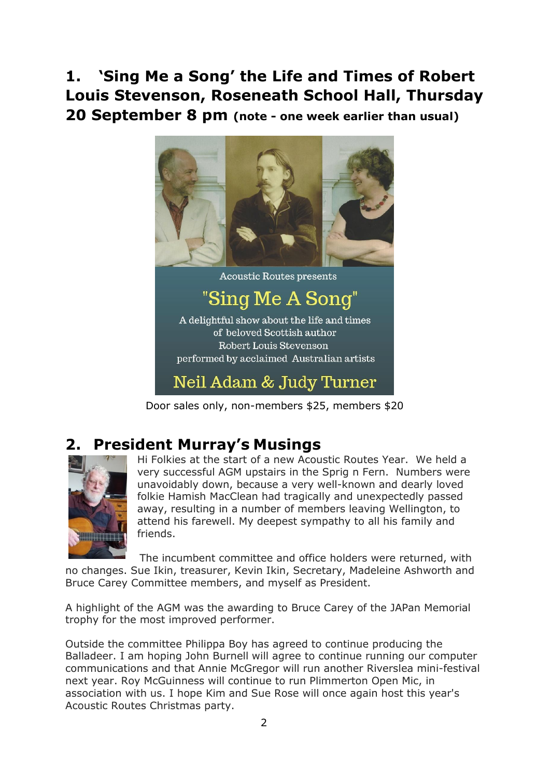# **1. 'Sing Me a Song' the Life and Times of Robert Louis Stevenson, Roseneath School Hall, Thursday 20 September 8 pm (note - one week earlier than usual)**



Door sales only, non-members \$25, members \$20

## **2. President Murray's Musings**



Hi Folkies at the start of a new Acoustic Routes Year. We held a very successful AGM upstairs in the Sprig n Fern. Numbers were unavoidably down, because a very well-known and dearly loved folkie Hamish MacClean had tragically and unexpectedly passed away, resulting in a number of members leaving Wellington, to attend his farewell. My deepest sympathy to all his family and friends.

The incumbent committee and office holders were returned, with no changes. Sue Ikin, treasurer, Kevin Ikin, Secretary, Madeleine Ashworth and Bruce Carey Committee members, and myself as President.

A highlight of the AGM was the awarding to Bruce Carey of the JAPan Memorial trophy for the most improved performer.

Outside the committee Philippa Boy has agreed to continue producing the Balladeer. I am hoping John Burnell will agree to continue running our computer communications and that Annie McGregor will run another Riverslea mini-festival next year. Roy McGuinness will continue to run Plimmerton Open Mic, in association with us. I hope Kim and Sue Rose will once again host this year's Acoustic Routes Christmas party.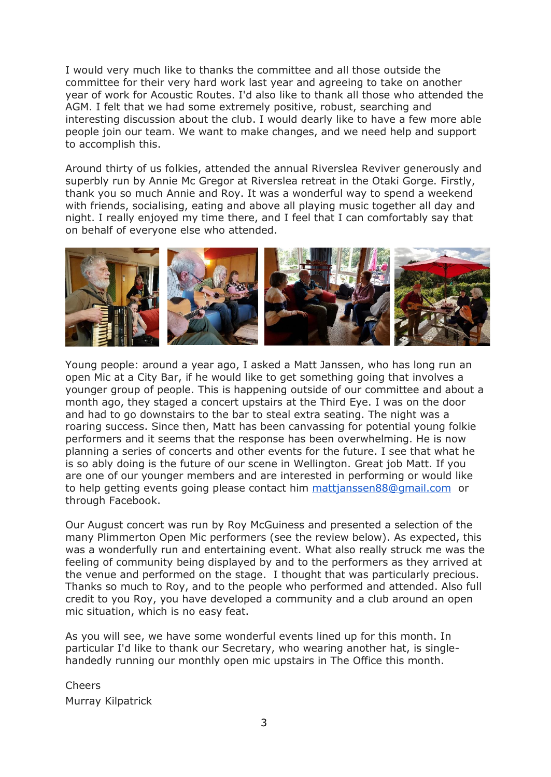I would very much like to thanks the committee and all those outside the committee for their very hard work last year and agreeing to take on another year of work for Acoustic Routes. I'd also like to thank all those who attended the AGM. I felt that we had some extremely positive, robust, searching and interesting discussion about the club. I would dearly like to have a few more able people join our team. We want to make changes, and we need help and support to accomplish this.

Around thirty of us folkies, attended the annual Riverslea Reviver generously and superbly run by Annie Mc Gregor at Riverslea retreat in the Otaki Gorge. Firstly, thank you so much Annie and Roy. It was a wonderful way to spend a weekend with friends, socialising, eating and above all playing music together all day and night. I really enjoyed my time there, and I feel that I can comfortably say that on behalf of everyone else who attended.



Young people: around a year ago, I asked a Matt Janssen, who has long run an open Mic at a City Bar, if he would like to get something going that involves a younger group of people. This is happening outside of our committee and about a month ago, they staged a concert upstairs at the Third Eye. I was on the door and had to go downstairs to the bar to steal extra seating. The night was a roaring success. Since then, Matt has been canvassing for potential young folkie performers and it seems that the response has been overwhelming. He is now planning a series of concerts and other events for the future. I see that what he is so ably doing is the future of our scene in Wellington. Great job Matt. If you are one of our younger members and are interested in performing or would like to help getting events going please contact him [mattjanssen88@gmail.com](mailto:mattjanssen88@gmail.com) or through Facebook.

Our August concert was run by Roy McGuiness and presented a selection of the many Plimmerton Open Mic performers (see the review below). As expected, this was a wonderfully run and entertaining event. What also really struck me was the feeling of community being displayed by and to the performers as they arrived at the venue and performed on the stage. I thought that was particularly precious. Thanks so much to Roy, and to the people who performed and attended. Also full credit to you Roy, you have developed a community and a club around an open mic situation, which is no easy feat.

As you will see, we have some wonderful events lined up for this month. In particular I'd like to thank our Secretary, who wearing another hat, is singlehandedly running our monthly open mic upstairs in The Office this month.

Cheers Murray Kilpatrick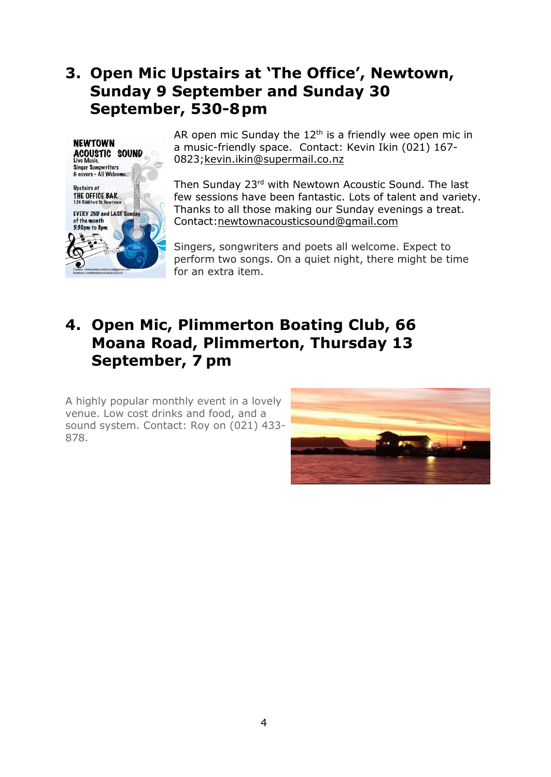## **3. Open Mic Upstairs at 'The Office', Newtown, Sunday 9 September and Sunday 30 September, 530-8pm**



AR open mic Sunday the  $12<sup>th</sup>$  is a friendly wee open mic in a music-friendly space. Contact: Kevin Ikin (021) 167- 0823[;kevin.ikin@supermail.co.nz](mailto:kevin.ikin@supermail.co.nz)

Then Sunday 23<sup>rd</sup> with Newtown Acoustic Sound. The last few sessions have been fantastic. Lots of talent and variety. Thanks to all those making our Sunday evenings a treat. Contact[:newtownacousticsound@gmail.com](mailto:newtownacousticsound@gmail.com)

Singers, songwriters and poets all welcome. Expect to perform two songs. On a quiet night, there might be time for an extra item.

## **4. Open Mic, Plimmerton Boating Club, 66 Moana Road, Plimmerton, Thursday 13 September, 7 pm**

A highly popular monthly event in a lovely venue. Low cost drinks and food, and a sound system. Contact: Roy on (021) 433- 878.

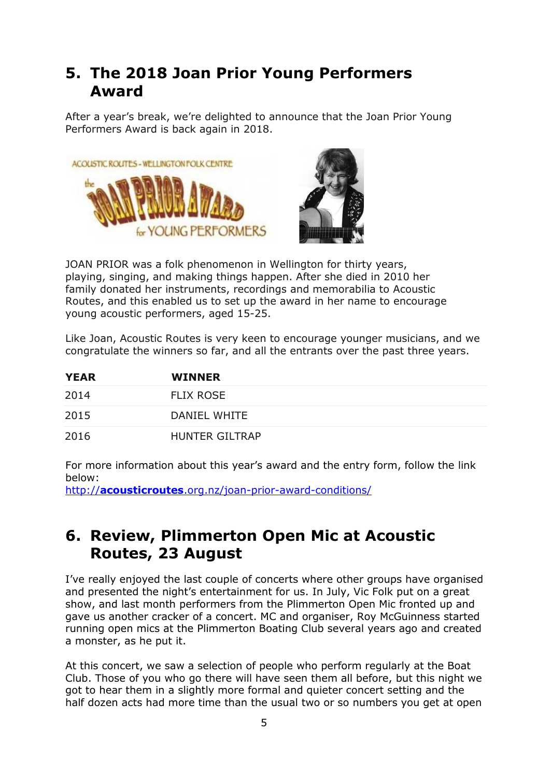## **5. The 2018 Joan Prior Young Performers Award**

After a year's break, we're delighted to announce that the Joan Prior Young Performers Award is back again in 2018.

![](_page_4_Picture_2.jpeg)

![](_page_4_Picture_3.jpeg)

JOAN PRIOR was a folk phenomenon in Wellington for thirty years, playing, singing, and making things happen. After she died in 2010 her family donated her instruments, recordings and memorabilia to Acoustic Routes, and this enabled us to set up the award in her name to encourage young acoustic performers, aged 15-25.

Like Joan, Acoustic Routes is very keen to encourage younger musicians, and we congratulate the winners so far, and all the entrants over the past three years.

| <b>YEAR</b> | <b>WINNER</b>         |
|-------------|-----------------------|
| 2014        | <b>FLIX ROSE</b>      |
| 2015        | DANIEL WHITE          |
| 2016        | <b>HUNTER GILTRAP</b> |

For more information about this year's award and the entry form, follow the link below:

http://**acousticroutes**[.org.nz/joan-prior-award-conditions/](http://acousticroutes.org.nz/joan-prior-award-conditions/)

## **6. Review, Plimmerton Open Mic at Acoustic Routes, 23 August**

I've really enjoyed the last couple of concerts where other groups have organised and presented the night's entertainment for us. In July, Vic Folk put on a great show, and last month performers from the Plimmerton Open Mic fronted up and gave us another cracker of a concert. MC and organiser, Roy McGuinness started running open mics at the Plimmerton Boating Club several years ago and created a monster, as he put it.

At this concert, we saw a selection of people who perform regularly at the Boat Club. Those of you who go there will have seen them all before, but this night we got to hear them in a slightly more formal and quieter concert setting and the half dozen acts had more time than the usual two or so numbers you get at open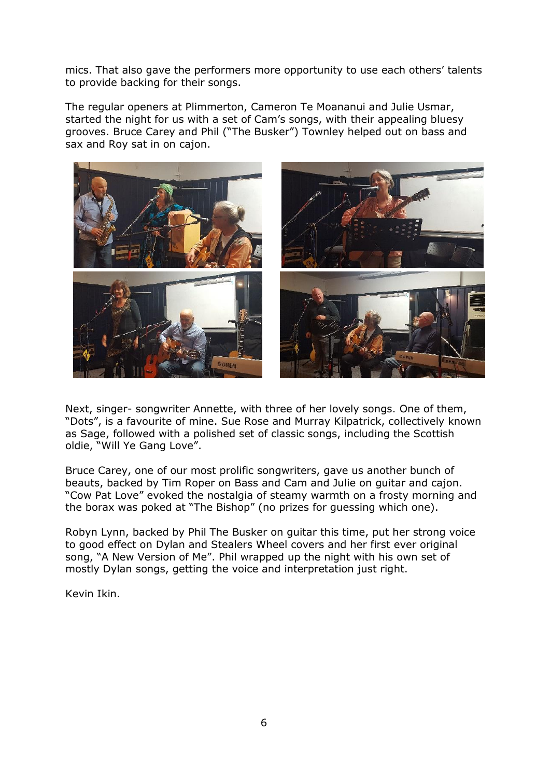mics. That also gave the performers more opportunity to use each others' talents to provide backing for their songs.

The regular openers at Plimmerton, Cameron Te Moananui and Julie Usmar, started the night for us with a set of Cam's songs, with their appealing bluesy grooves. Bruce Carey and Phil ("The Busker") Townley helped out on bass and sax and Roy sat in on cajon.

![](_page_5_Picture_2.jpeg)

Next, singer- songwriter Annette, with three of her lovely songs. One of them, "Dots", is a favourite of mine. Sue Rose and Murray Kilpatrick, collectively known as Sage, followed with a polished set of classic songs, including the Scottish oldie, "Will Ye Gang Love".

Bruce Carey, one of our most prolific songwriters, gave us another bunch of beauts, backed by Tim Roper on Bass and Cam and Julie on guitar and cajon. "Cow Pat Love" evoked the nostalgia of steamy warmth on a frosty morning and the borax was poked at "The Bishop" (no prizes for guessing which one).

Robyn Lynn, backed by Phil The Busker on guitar this time, put her strong voice to good effect on Dylan and Stealers Wheel covers and her first ever original song, "A New Version of Me". Phil wrapped up the night with his own set of mostly Dylan songs, getting the voice and interpretation just right.

Kevin Ikin.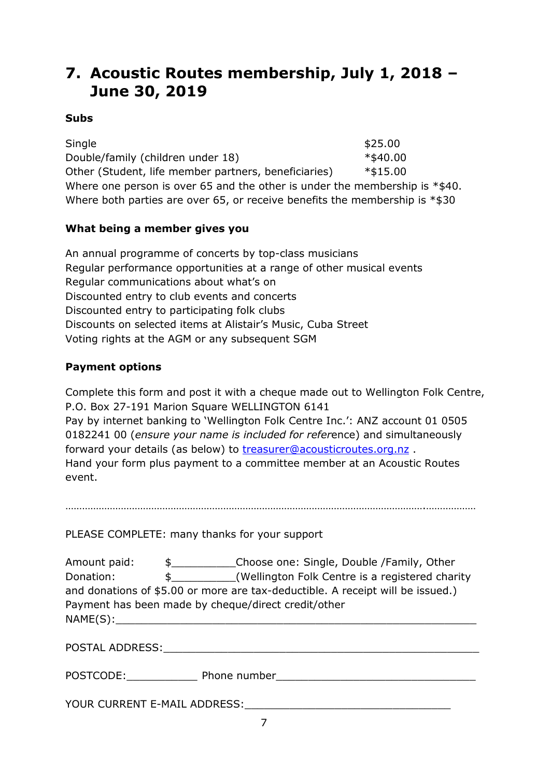## **7. Acoustic Routes membership, July 1, 2018 – June 30, 2019**

#### **Subs**

 $\textsf{Single} \quad \textsf{Single} \quad \textsf{Single}$ Double/family (children under 18) \*\$40.00 Other (Student, life member partners, beneficiaries) \*\$15.00 Where one person is over 65 and the other is under the membership is \*\$40. Where both parties are over 65, or receive benefits the membership is \*\$30

#### **What being a member gives you**

An annual programme of concerts by top-class musicians Regular performance opportunities at a range of other musical events Regular communications about what's on Discounted entry to club events and concerts Discounted entry to participating folk clubs Discounts on selected items at Alistair's Music, Cuba Street Voting rights at the AGM or any subsequent SGM

#### **Payment options**

Complete this form and post it with a cheque made out to Wellington Folk Centre, P.O. Box 27-191 Marion Square WELLINGTON 6141 Pay by internet banking to 'Wellington Folk Centre Inc.': ANZ account 01 0505 0182241 00 (*ensure your name is included for refer*ence) and simultaneously forward your details (as below) to [treasurer@acousticroutes.org.nz](mailto:treasurer@acousticroutes.org.nz) . Hand your form plus payment to a committee member at an Acoustic Routes event.

………………………………………………………………………………………………………………….………………

PLEASE COMPLETE: many thanks for your support

| Amount paid: | S.                            | Choose one: Single, Double /Family, Other                                      |
|--------------|-------------------------------|--------------------------------------------------------------------------------|
| Donation:    | $\mathbb{S}$ and $\mathbb{S}$ | (Wellington Folk Centre is a registered charity                                |
|              |                               | and donations of \$5.00 or more are tax-deductible. A receipt will be issued.) |
|              |                               | Payment has been made by cheque/direct credit/other                            |
| NAME(S):     |                               |                                                                                |
|              |                               |                                                                                |

POSTAL ADDRESS:\_\_\_\_\_\_\_\_\_\_\_\_\_\_\_\_\_\_\_\_\_\_\_\_\_\_\_\_\_\_\_\_\_\_\_\_\_\_\_\_\_\_\_\_\_\_\_\_\_

POSTCODE:\_\_\_\_\_\_\_\_\_\_\_ Phone number\_\_\_\_\_\_\_\_\_\_\_\_\_\_\_\_\_\_\_\_\_\_\_\_\_\_\_\_\_\_\_

YOUR CURRENT E-MAIL ADDRESS: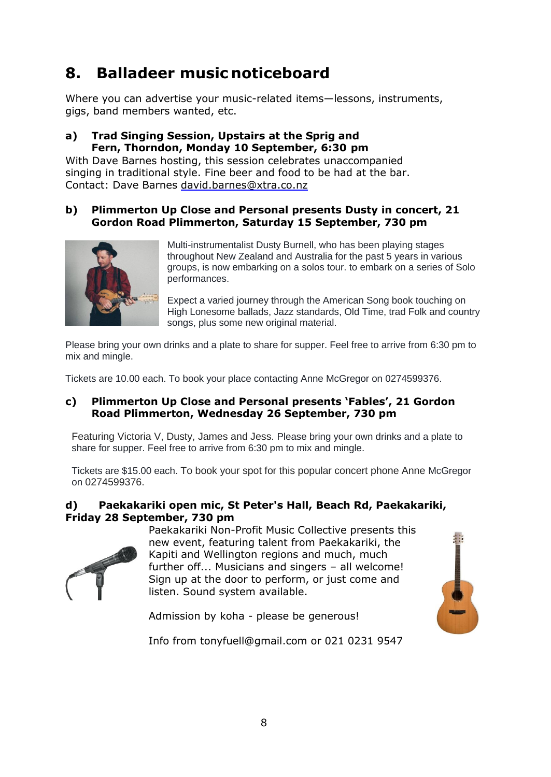# **8. Balladeer music noticeboard**

Where you can advertise your music-related items—lessons, instruments, gigs, band members wanted, etc.

#### **a) Trad Singing Session, Upstairs at the Sprig and Fern, Thorndon, Monday 10 September, 6:30 pm**

With Dave Barnes hosting, this session celebrates unaccompanied singing in traditional style. Fine beer and food to be had at the bar. Contact: Dave Barnes [david.barnes@xtra.co.nz](mailto:david.barnes@xtra.co.nz)

#### **b) Plimmerton Up Close and Personal presents Dusty in concert, 21 Gordon Road Plimmerton, Saturday 15 September, 730 pm**

![](_page_7_Picture_5.jpeg)

Multi-instrumentalist Dusty Burnell, who has been playing stages throughout New Zealand and Australia for the past 5 years in various groups, is now embarking on a solos tour. to embark on a series of Solo performances.

Expect a varied journey through the American Song book touching on High Lonesome ballads, Jazz standards, Old Time, trad Folk and country songs, plus some new original material.

Please bring your own drinks and a plate to share for supper. Feel free to arrive from 6:30 pm to mix and mingle.

Tickets are 10.00 each. To book your place contacting Anne McGregor on 0274599376.

#### **c) Plimmerton Up Close and Personal presents 'Fables', 21 Gordon Road Plimmerton, Wednesday 26 September, 730 pm**

Featuring Victoria V, Dusty, James and Jess. Please bring your own drinks and a plate to share for supper. Feel free to arrive from 6:30 pm to mix and mingle.

Tickets are \$15.00 each. To book your spot for this popular concert phone Anne McGregor on 0274599376.

#### **d) Paekakariki open mic, St Peter's Hall, Beach Rd, Paekakariki, Friday 28 September, 730 pm**

![](_page_7_Picture_14.jpeg)

Paekakariki Non-Profit Music Collective presents this new event, featuring talent from Paekakariki, the Kapiti and Wellington regions and much, much further off... Musicians and singers – all welcome! Sign up at the door to perform, or just come and listen. Sound system available.

![](_page_7_Picture_16.jpeg)

Admission by koha - please be generous!

Info from tonyfuell@gmail.com or 021 0231 9547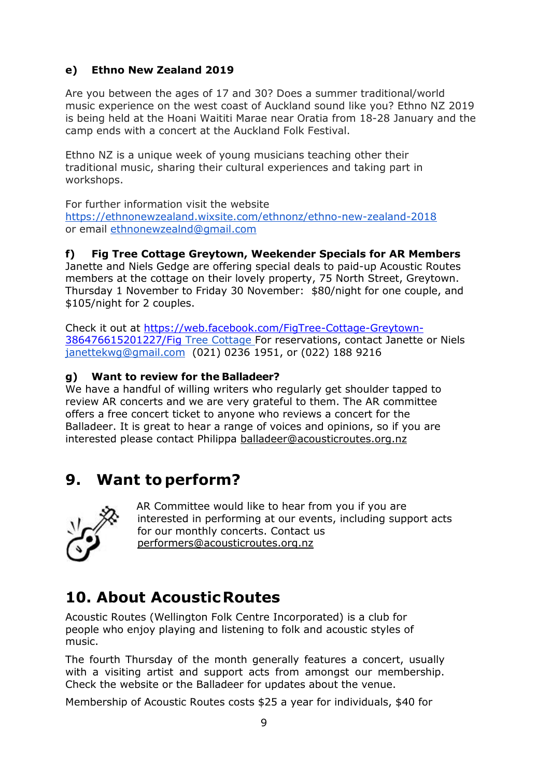#### **e) Ethno New Zealand 2019**

Are you between the ages of 17 and 30? Does a summer traditional/world music experience on the west coast of Auckland sound like you? Ethno NZ 2019 is being held at the Hoani Waititi Marae near Oratia from 18-28 January and the camp ends with a concert at the Auckland Folk Festival.

Ethno NZ is a unique week of young musicians teaching other their traditional music, sharing their cultural experiences and taking part in workshops.

For further information visit the website

<https://ethnonewzealand.wixsite.com/ethnonz/ethno-new-zealand-2018> or email [ethnonewzealnd@gmail.com](mailto:ethnonewzealnd@gmail.com)

#### **f) Fig Tree Cottage Greytown, Weekender Specials for AR Members**

Janette and Niels Gedge are offering special deals to paid-up Acoustic Routes members at the cottage on their lovely property, 75 North Street, Greytown. Thursday 1 November to Friday 30 November: \$80/night for one couple, and \$105/night for 2 couples.

Check it out at [https://web.facebook.com/FigTree-Cottage-Greytown-](https://web.facebook.com/FigTree-Cottage-Greytown-386476615201227/Fig)[386476615201227/Fig](https://web.facebook.com/FigTree-Cottage-Greytown-386476615201227/Fig) Tree Cottage For reservations, contact Janette or Niels [janettekwg@gmail.com](mailto:janettekwg@gmail.com) (021) 0236 1951, or (022) 188 9216

#### **g) Want to review for the Balladeer?**

We have a handful of willing writers who regularly get shoulder tapped to review AR concerts and we are very grateful to them. The AR committee offers a free concert ticket to anyone who reviews a concert for the Balladeer. It is great to hear a range of voices and opinions, so if you are interested please contact Philippa [balladeer@acousticroutes.org.nz](mailto:balladeer@acousticroutes.org.nz)

## **9. Want toperform?**

![](_page_8_Picture_11.jpeg)

AR Committee would like to hear from you if you are interested in performing at our events, including support acts for our monthly concerts. Contact us [performers@acousticroutes.org.nz](mailto:performers@acousticroutes.org.nz)

## **10. About AcousticRoutes**

Acoustic Routes (Wellington Folk Centre Incorporated) is a club for people who enjoy playing and listening to folk and acoustic styles of music.

The fourth Thursday of the month generally features a concert, usually with a visiting artist and support acts from amongst our membership. Check the website or the Balladeer for updates about the venue.

Membership of Acoustic Routes costs \$25 a year for individuals, \$40 for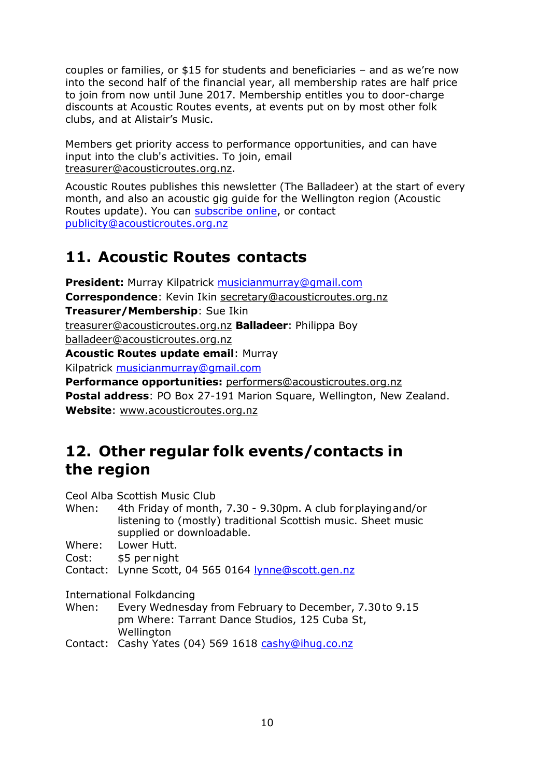couples or families, or \$15 for students and beneficiaries – and as we're now into the second half of the financial year, all membership rates are half price to join from now until June 2017. Membership entitles you to door-charge discounts at Acoustic Routes events, at events put on by most other folk clubs, and at Alistair's Music.

Members get priority access to performance opportunities, and can have input into the club's activities. To join, email [treasurer@acousticroutes.org.nz.](mailto:treasurer@acousticroutes.org.nz)

Acoustic Routes publishes this newsletter (The Balladeer) at the start of every month, and also an acoustic gig guide for the Wellington region (Acoustic Routes update). You can [subscribe online,](http://eepurl.com/mP90b) or contact [publicity@acousticroutes.org.nz](mailto:publicity@acousticroutes.org.nz)

## **11. Acoustic Routes contacts**

**President:** Murray Kilpatrick [musicianmurray@gmail.com](mailto:musicianmurray@gmail.com)  **Correspondence**: Kevin Ikin [secretary@acousticroutes.org.nz](mailto:secretary@acousticroutes.org.nz) **Treasurer/Membership**: Sue Ikin [treasurer@acousticroutes.org.nz](mailto:treasurer@acousticroutes.org.nz) **Balladeer**: Philippa Boy [balladeer@acousticroutes.org.nz](mailto:balladeer@acousticroutes.org.nz) **Acoustic Routes update email**: Murray Kilpatrick [musicianmurray@gmail.com](mailto:musicianmurray@gmail.com) 

**Performance opportunities:** [performers@acousticroutes.org.nz](mailto:performers@acousticroutes.org.nz) **Postal address**: PO Box 27-191 Marion Square, Wellington, New Zealand. **Website**: [www.acousticroutes.org.nz](http://www.acousticroutes.org.nz/)

### **12. Other regular folk events/contacts in the region**

Ceol Alba Scottish Music Club

- When: 4th Friday of month, 7.30 9.30pm. A club forplayingand/or listening to (mostly) traditional Scottish music. Sheet music supplied or downloadable.
- Where: Lower Hutt.
- Cost: \$5 per night

Contact: Lynne Scott, 04 565 0164 [lynne@scott.gen.nz](mailto:lynne@scott.gen.nz)

International Folkdancing

- When: Every Wednesday from February to December, 7.30to 9.15 pm Where: Tarrant Dance Studios, 125 Cuba St, **Wellington**
- Contact: Cashy Yates (04) 569 1618 [cashy@ihug.co.nz](mailto:cashy@ihug.co.nz)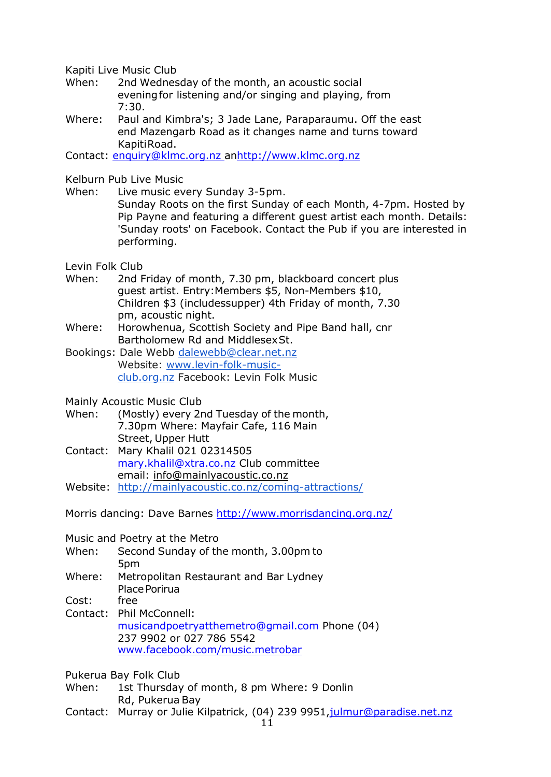Kapiti Live Music Club

- When: 2nd Wednesday of the month, an acoustic social eveningfor listening and/or singing and playing, from 7:30.
- Where: Paul and Kimbra's; 3 Jade Lane, Paraparaumu. Off the east end Mazengarb Road as it changes name and turns toward KapitiRoad.

Contact: [enquiry@klmc.org.nz a](mailto:enquiry@klmc.org.nz)[nhttp://www.klmc.org.nz](http://www.klmc.org.nz/)

Kelburn Pub Live Music

When: Live music every Sunday 3-5pm.

Sunday Roots on the first Sunday of each Month, 4-7pm. Hosted by Pip Payne and featuring a different guest artist each month. Details: 'Sunday roots' on Facebook. Contact the Pub if you are interested in performing.

Levin Folk Club

- When: 2nd Friday of month, 7.30 pm, blackboard concert plus guest artist. Entry:Members \$5, Non-Members \$10, Children \$3 (includessupper) 4th Friday of month, 7.30 pm, acoustic night.
- Where: Horowhenua, Scottish Society and Pipe Band hall, cnr Bartholomew Rd and MiddlesexSt.
- Bookings: Dale Webb [dalewebb@clear.net.nz](mailto:dalewebb@clear.net.nz) Website: [www.levin-folk-music](http://www.levin-folk-music-club.org.nz/)[club.org.nz](http://www.levin-folk-music-club.org.nz/) Facebook: Levin Folk Music

Mainly Acoustic Music Club

- When: (Mostly) every 2nd Tuesday of the month, 7.30pm Where: Mayfair Cafe, 116 Main Street, Upper Hutt
- Contact: Mary Khalil 021 02314505 [mary.khalil@xtra.co.nz](mailto:mary.khalil@xtra.co.nz) Club committee email: [info@mainlyacoustic.co.nz](mailto:info@mainlyacoustic.co.nz)
- Website: <http://mainlyacoustic.co.nz/coming-attractions/>

Morris dancing: Dave Barnes<http://www.morrisdancing.org.nz/>

Music and Poetry at the Metro

- When: Second Sunday of the month, 3.00pm to 5pm
- Where: Metropolitan Restaurant and Bar Lydney Place Porirua
- Cost: free
- Contact: Phil McConnell: [musicandpoetryatthemetro@gmail.com](mailto:musicandpoetryatthemetro@gmail.com) Phone (04) 237 9902 or 027 786 5542 [www.facebook.com/music.metrobar](http://www.facebook.com/music.metrobar)

Pukerua Bay Folk Club

- When: 1st Thursday of month, 8 pm Where: 9 Donlin Rd, Pukerua Bay
- Contact: Murray or Julie Kilpatrick, (04) 239 9951[,julmur@paradise.net.nz](mailto:julmur@paradise.net.nz)